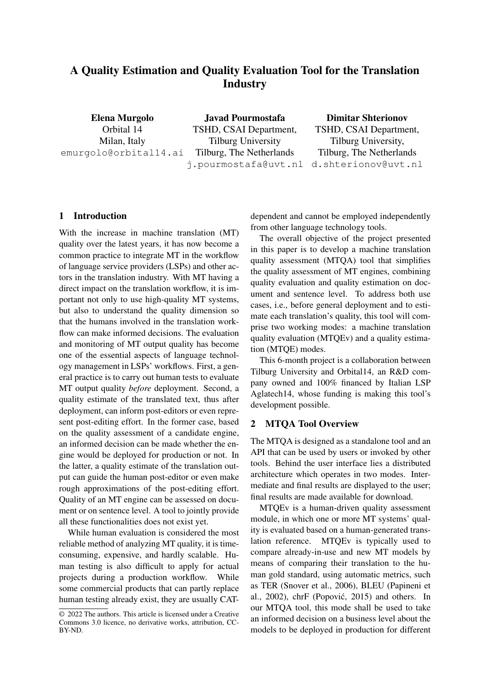# A Quality Estimation and Quality Evaluation Tool for the Translation **Industry**

Elena Murgolo Orbital 14 Milan, Italy emurgolo@orbital14.ai

Javad Pourmostafa TSHD, CSAI Department, Tilburg University Tilburg, The Netherlands j.pourmostafa@uvt.nl d.shterionov@uvt.nl

Dimitar Shterionov TSHD, CSAI Department, Tilburg University, Tilburg, The Netherlands

## 1 Introduction

With the increase in machine translation (MT) quality over the latest years, it has now become a common practice to integrate MT in the workflow of language service providers (LSPs) and other actors in the translation industry. With MT having a direct impact on the translation workflow, it is important not only to use high-quality MT systems, but also to understand the quality dimension so that the humans involved in the translation workflow can make informed decisions. The evaluation and monitoring of MT output quality has become one of the essential aspects of language technology management in LSPs' workflows. First, a general practice is to carry out human tests to evaluate MT output quality *before* deployment. Second, a quality estimate of the translated text, thus after deployment, can inform post-editors or even represent post-editing effort. In the former case, based on the quality assessment of a candidate engine, an informed decision can be made whether the engine would be deployed for production or not. In the latter, a quality estimate of the translation output can guide the human post-editor or even make rough approximations of the post-editing effort. Quality of an MT engine can be assessed on document or on sentence level. A tool to jointly provide all these functionalities does not exist yet.

While human evaluation is considered the most reliable method of analyzing MT quality, it is timeconsuming, expensive, and hardly scalable. Human testing is also difficult to apply for actual projects during a production workflow. While some commercial products that can partly replace human testing already exist, they are usually CAT-

dependent and cannot be employed independently from other language technology tools.

The overall objective of the project presented in this paper is to develop a machine translation quality assessment (MTQA) tool that simplifies the quality assessment of MT engines, combining quality evaluation and quality estimation on document and sentence level. To address both use cases, i.e., before general deployment and to estimate each translation's quality, this tool will comprise two working modes: a machine translation quality evaluation (MTQEv) and a quality estimation (MTQE) modes.

This 6-month project is a collaboration between Tilburg University and Orbital14, an R&D company owned and 100% financed by Italian LSP Aglatech14, whose funding is making this tool's development possible.

#### 2 MTQA Tool Overview

The MTQA is designed as a standalone tool and an API that can be used by users or invoked by other tools. Behind the user interface lies a distributed architecture which operates in two modes. Intermediate and final results are displayed to the user; final results are made available for download.

MTQEv is a human-driven quality assessment module, in which one or more MT systems' quality is evaluated based on a human-generated translation reference. MTQEv is typically used to compare already-in-use and new MT models by means of comparing their translation to the human gold standard, using automatic metrics, such as TER (Snover et al., 2006), BLEU (Papineni et al.,  $2002$ ), chrF (Popović,  $2015$ ) and others. In our MTQA tool, this mode shall be used to take an informed decision on a business level about the models to be deployed in production for different

<sup>© 2022</sup> The authors. This article is licensed under a Creative Commons 3.0 licence, no derivative works, attribution, CC-BY-ND.